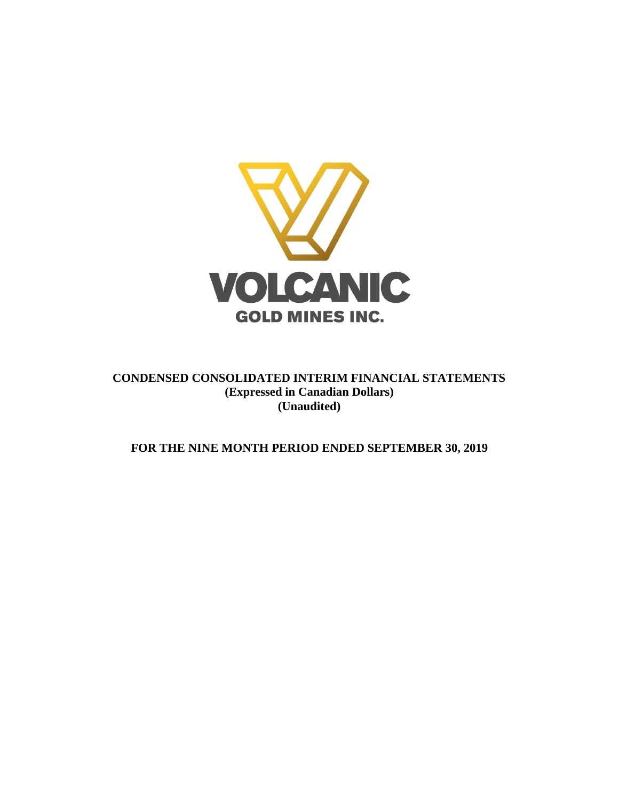

**CONDENSED CONSOLIDATED INTERIM FINANCIAL STATEMENTS (Expressed in Canadian Dollars) (Unaudited)**

**FOR THE NINE MONTH PERIOD ENDED SEPTEMBER 30, 2019**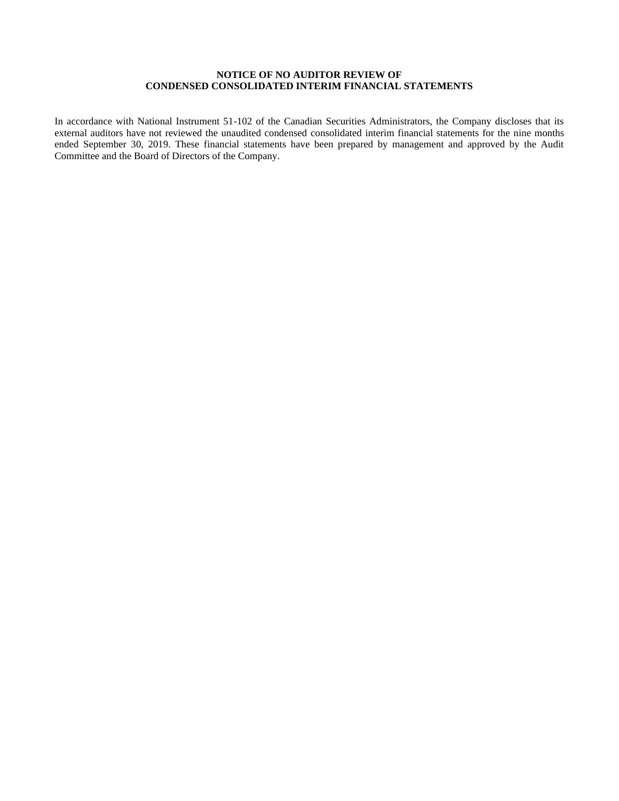### **NOTICE OF NO AUDITOR REVIEW OF CONDENSED CONSOLIDATED INTERIM FINANCIAL STATEMENTS**

In accordance with National Instrument 51-102 of the Canadian Securities Administrators, the Company discloses that its external auditors have not reviewed the unaudited condensed consolidated interim financial statements for the nine months ended September 30, 2019. These financial statements have been prepared by management and approved by the Audit Committee and the Board of Directors of the Company.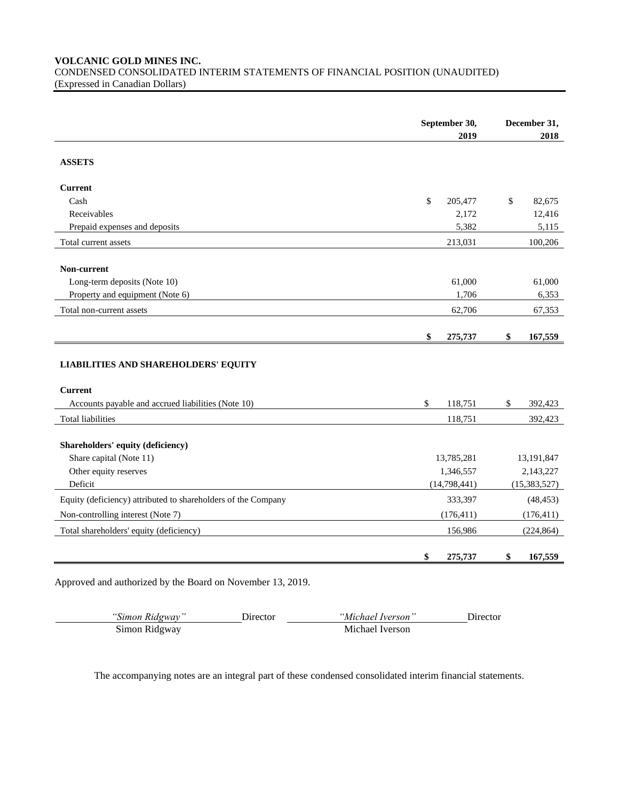#### **VOLCANIC GOLD MINES INC.**

CONDENSED CONSOLIDATED INTERIM STATEMENTS OF FINANCIAL POSITION (UNAUDITED) (Expressed in Canadian Dollars)

|                                                               | September 30,<br>2019 | December 31,<br>2018 |                |
|---------------------------------------------------------------|-----------------------|----------------------|----------------|
| <b>ASSETS</b>                                                 |                       |                      |                |
| <b>Current</b>                                                |                       |                      |                |
| Cash                                                          | \$<br>205,477         | \$                   | 82,675         |
| Receivables                                                   | 2,172                 |                      | 12,416         |
| Prepaid expenses and deposits                                 | 5,382                 |                      | 5,115          |
| Total current assets                                          | 213,031               |                      | 100,206        |
| Non-current                                                   |                       |                      |                |
| Long-term deposits (Note 10)                                  | 61,000                |                      | 61,000         |
| Property and equipment (Note 6)                               | 1,706                 |                      | 6,353          |
| Total non-current assets                                      | 62,706                |                      | 67,353         |
|                                                               |                       |                      |                |
|                                                               | \$<br>275,737         | \$                   | 167,559        |
| <b>LIABILITIES AND SHAREHOLDERS' EQUITY</b>                   |                       |                      |                |
| <b>Current</b>                                                |                       |                      |                |
| Accounts payable and accrued liabilities (Note 10)            | \$<br>118,751         | \$                   | 392,423        |
| <b>Total liabilities</b>                                      | 118,751               |                      | 392,423        |
| Shareholders' equity (deficiency)                             |                       |                      |                |
| Share capital (Note 11)                                       | 13,785,281            |                      | 13,191,847     |
| Other equity reserves                                         | 1,346,557             |                      | 2,143,227      |
| Deficit                                                       | (14,798,441)          |                      | (15, 383, 527) |
| Equity (deficiency) attributed to shareholders of the Company | 333,397               |                      | (48, 453)      |
| Non-controlling interest (Note 7)                             | (176, 411)            |                      | (176, 411)     |
| Total shareholders' equity (deficiency)                       | 156,986               |                      | (224, 864)     |
|                                                               | \$<br>275,737         | \$                   | 167,559        |

Approved and authorized by the Board on November 13, 2019.

*"Simon Ridgway"* Director *"Michael Iverson"* Director Simon Ridgway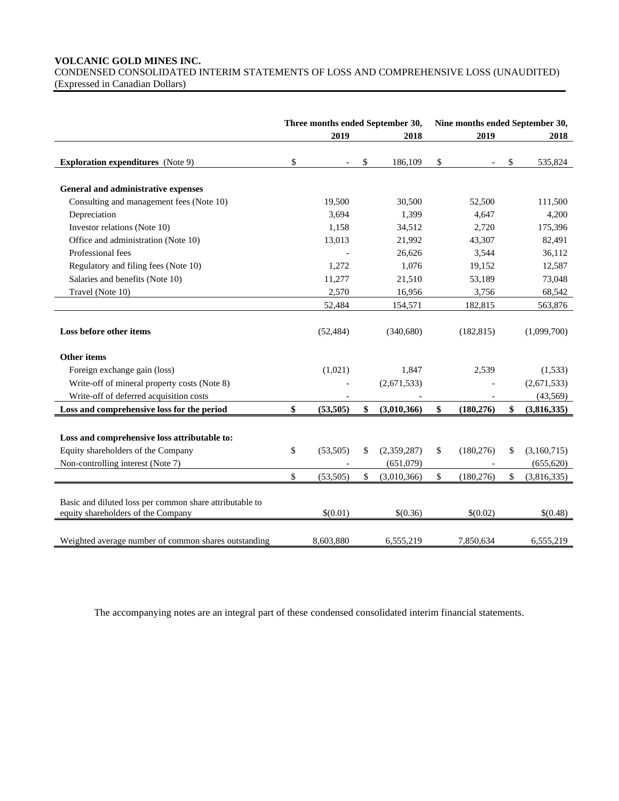### **VOLCANIC GOLD MINES INC.**

CONDENSED CONSOLIDATED INTERIM STATEMENTS OF LOSS AND COMPREHENSIVE LOSS (UNAUDITED) (Expressed in Canadian Dollars)

|                                                                                               | Three months ended September 30, |                   | Nine months ended September 30, |            |             |             |
|-----------------------------------------------------------------------------------------------|----------------------------------|-------------------|---------------------------------|------------|-------------|-------------|
|                                                                                               | 2019                             | 2018              | 2019                            |            |             | 2018        |
| <b>Exploration expenditures</b> (Note 9)                                                      | \$                               | \$<br>186,109     | \$                              |            | \$          | 535,824     |
|                                                                                               |                                  |                   |                                 |            |             |             |
| General and administrative expenses                                                           |                                  |                   |                                 |            |             |             |
| Consulting and management fees (Note 10)                                                      | 19,500                           | 30,500            |                                 | 52,500     |             | 111,500     |
| Depreciation                                                                                  | 3,694                            | 1,399             |                                 | 4,647      |             | 4,200       |
| Investor relations (Note 10)                                                                  | 1,158                            | 34,512            |                                 | 2,720      |             | 175,396     |
| Office and administration (Note 10)                                                           | 13,013                           | 21,992            |                                 | 43,307     |             | 82,491      |
| Professional fees                                                                             |                                  | 26,626            |                                 | 3,544      |             | 36,112      |
| Regulatory and filing fees (Note 10)                                                          | 1,272                            | 1,076             |                                 | 19,152     |             | 12,587      |
| Salaries and benefits (Note 10)                                                               | 11,277                           | 21,510            |                                 | 53,189     |             | 73,048      |
| Travel (Note 10)                                                                              | 2,570                            | 16,956            |                                 | 3,756      |             | 68,542      |
|                                                                                               | 52,484                           | 154,571           |                                 | 182,815    |             | 563,876     |
| Loss before other items                                                                       | (52, 484)                        | (340,680)         |                                 | (182, 815) |             | (1,099,700) |
| <b>Other items</b>                                                                            |                                  |                   |                                 |            |             |             |
| Foreign exchange gain (loss)                                                                  | (1,021)                          | 1,847             |                                 | 2,539      |             | (1,533)     |
| Write-off of mineral property costs (Note 8)                                                  |                                  | (2,671,533)       |                                 |            | (2,671,533) |             |
| Write-off of deferred acquisition costs                                                       |                                  |                   |                                 |            | (43, 569)   |             |
| Loss and comprehensive loss for the period                                                    | \$<br>(53,505)                   | \$<br>(3,010,366) | \$                              | (180, 276) | \$          | (3,816,335) |
|                                                                                               |                                  |                   |                                 |            |             |             |
| Loss and comprehensive loss attributable to:                                                  |                                  |                   |                                 |            |             |             |
| Equity shareholders of the Company                                                            | \$<br>(53,505)                   | \$<br>(2,359,287) | \$                              | (180, 276) | \$          | (3,160,715) |
| Non-controlling interest (Note 7)                                                             |                                  | (651,079)         |                                 |            |             | (655, 620)  |
|                                                                                               | \$<br>(53, 505)                  | \$<br>(3,010,366) | \$                              | (180, 276) | \$          | (3,816,335) |
|                                                                                               |                                  |                   |                                 |            |             |             |
| Basic and diluted loss per common share attributable to<br>equity shareholders of the Company | \$(0.01)                         | \$(0.36)          |                                 | \$(0.02)   |             | \$(0.48)    |
|                                                                                               |                                  |                   |                                 |            |             |             |
| Weighted average number of common shares outstanding                                          | 8,603,880                        | 6,555,219         |                                 | 7,850,634  |             | 6,555,219   |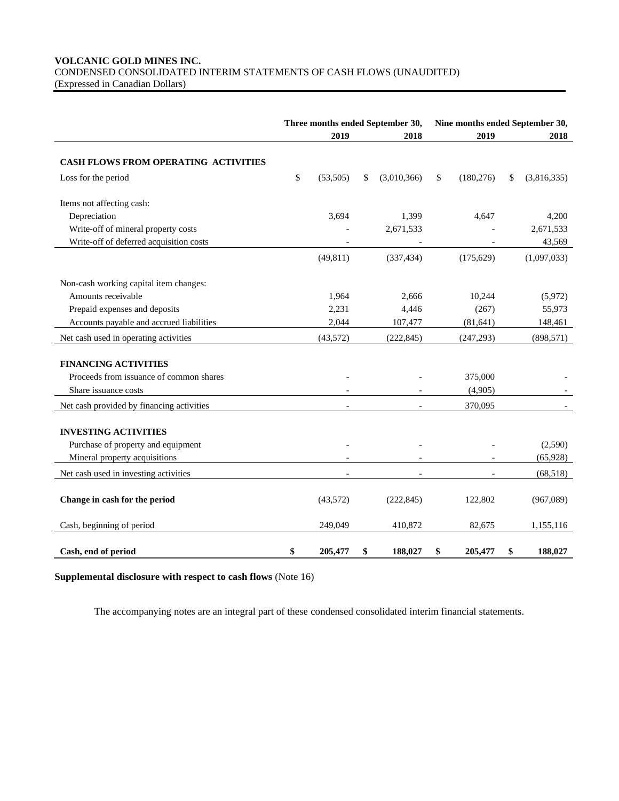### **VOLCANIC GOLD MINES INC.** CONDENSED CONSOLIDATED INTERIM STATEMENTS OF CASH FLOWS (UNAUDITED) (Expressed in Canadian Dollars)

|                                             | Three months ended September 30,<br>2019 |                          |    | 2019<br>2018 |    |            | Nine months ended September 30,<br>2018 |             |
|---------------------------------------------|------------------------------------------|--------------------------|----|--------------|----|------------|-----------------------------------------|-------------|
|                                             |                                          |                          |    |              |    |            |                                         |             |
| <b>CASH FLOWS FROM OPERATING ACTIVITIES</b> |                                          |                          |    |              |    |            |                                         |             |
| Loss for the period                         | \$                                       | (53,505)                 | \$ | (3,010,366)  | \$ | (180, 276) | \$                                      | (3,816,335) |
| Items not affecting cash:                   |                                          |                          |    |              |    |            |                                         |             |
| Depreciation                                |                                          | 3,694                    |    | 1,399        |    | 4,647      |                                         | 4,200       |
| Write-off of mineral property costs         |                                          |                          |    | 2,671,533    |    |            |                                         | 2,671,533   |
| Write-off of deferred acquisition costs     |                                          |                          |    |              |    |            |                                         | 43,569      |
|                                             |                                          | (49, 811)                |    | (337, 434)   |    | (175, 629) |                                         | (1,097,033) |
| Non-cash working capital item changes:      |                                          |                          |    |              |    |            |                                         |             |
| Amounts receivable                          |                                          | 1,964                    |    | 2,666        |    | 10,244     |                                         | (5,972)     |
| Prepaid expenses and deposits               |                                          | 2,231                    |    | 4,446        |    | (267)      |                                         | 55,973      |
| Accounts payable and accrued liabilities    |                                          | 2,044                    |    | 107,477      |    | (81, 641)  |                                         | 148,461     |
| Net cash used in operating activities       |                                          | (43,572)                 |    | (222, 845)   |    | (247, 293) |                                         | (898, 571)  |
| <b>FINANCING ACTIVITIES</b>                 |                                          |                          |    |              |    |            |                                         |             |
| Proceeds from issuance of common shares     |                                          |                          |    |              |    | 375,000    |                                         |             |
| Share issuance costs                        |                                          |                          |    |              |    | (4,905)    |                                         |             |
| Net cash provided by financing activities   |                                          | $\overline{\phantom{a}}$ |    |              |    | 370,095    |                                         |             |
| <b>INVESTING ACTIVITIES</b>                 |                                          |                          |    |              |    |            |                                         |             |
| Purchase of property and equipment          |                                          |                          |    |              |    |            |                                         | (2,590)     |
| Mineral property acquisitions               |                                          |                          |    |              |    |            |                                         | (65, 928)   |
| Net cash used in investing activities       |                                          |                          |    |              |    |            |                                         | (68,518)    |
| Change in cash for the period               |                                          | (43,572)                 |    | (222, 845)   |    | 122,802    |                                         | (967,089)   |
| Cash, beginning of period                   |                                          | 249,049                  |    | 410,872      |    | 82,675     |                                         | 1,155,116   |
| Cash, end of period                         | \$                                       | 205,477                  | \$ | 188,027      | \$ | 205,477    | \$                                      | 188,027     |

# **Supplemental disclosure with respect to cash flows** (Note 16)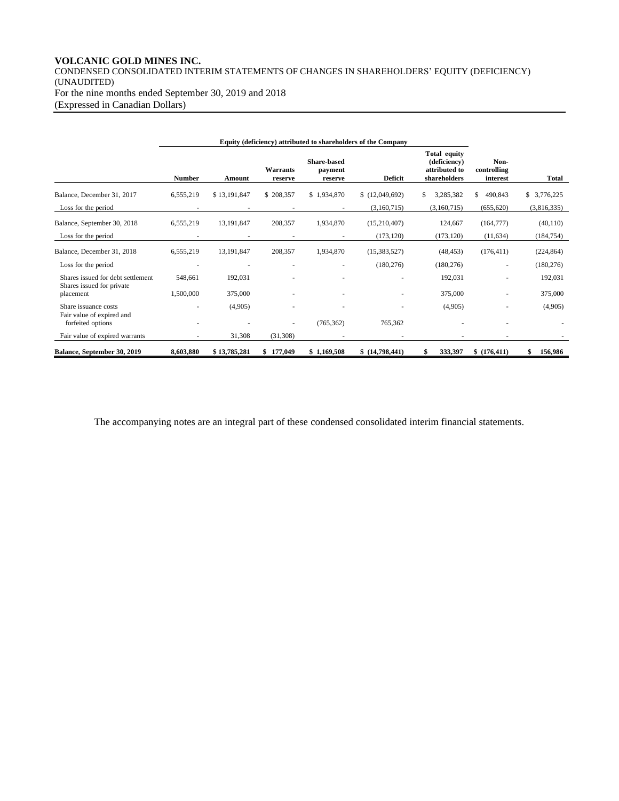# **VOLCANIC GOLD MINES INC.**

CONDENSED CONSOLIDATED INTERIM STATEMENTS OF CHANGES IN SHAREHOLDERS' EQUITY (DEFICIENCY) (UNAUDITED) For the nine months ended September 30, 2019 and 2018 (Expressed in Canadian Dollars)

|                                                                | <b>Number</b> | Amount       | Warrants<br>reserve | <b>Share-based</b><br>payment<br>reserve | <b>Deficit</b> | <b>Total equity</b><br>(deficiency)<br>attributed to<br>shareholders | Non-<br>controlling<br>interest | <b>Total</b> |
|----------------------------------------------------------------|---------------|--------------|---------------------|------------------------------------------|----------------|----------------------------------------------------------------------|---------------------------------|--------------|
| Balance, December 31, 2017                                     | 6,555,219     | \$13,191,847 | \$208,357           | \$1,934,870                              | (12,049,692)   | \$<br>3,285,382                                                      | \$<br>490,843                   | \$3,776,225  |
| Loss for the period                                            |               |              |                     |                                          | (3,160,715)    | (3,160,715)                                                          | (655, 620)                      | (3,816,335)  |
| Balance, September 30, 2018                                    | 6,555,219     | 13,191,847   | 208,357             | 1,934,870                                | (15,210,407)   | 124,667                                                              | (164, 777)                      | (40, 110)    |
| Loss for the period                                            |               | ٠            | ٠                   |                                          | (173, 120)     | (173, 120)                                                           | (11, 634)                       | (184, 754)   |
| Balance, December 31, 2018                                     | 6,555,219     | 13,191,847   | 208,357             | 1,934,870                                | (15,383,527)   | (48, 453)                                                            | (176, 411)                      | (224, 864)   |
| Loss for the period                                            |               |              |                     |                                          | (180, 276)     | (180, 276)                                                           | ٠                               | (180, 276)   |
| Shares issued for debt settlement<br>Shares issued for private | 548,661       | 192,031      |                     |                                          |                | 192,031                                                              |                                 | 192,031      |
| placement                                                      | 1,500,000     | 375,000      |                     |                                          |                | 375,000                                                              |                                 | 375,000      |
| Share issuance costs<br>Fair value of expired and              |               | (4,905)      |                     |                                          |                | (4,905)                                                              |                                 | (4,905)      |
| forfeited options                                              | ÷             |              |                     | (765, 362)                               | 765,362        |                                                                      |                                 |              |
| Fair value of expired warrants                                 |               | 31,308       | (31, 308)           |                                          |                |                                                                      |                                 |              |
| Balance, September 30, 2019                                    | 8,603,880     | \$13,785,281 | \$177,049           | \$1,169,508                              | \$(14,798,441) | 333,397                                                              | \$(176, 411)                    | 156,986      |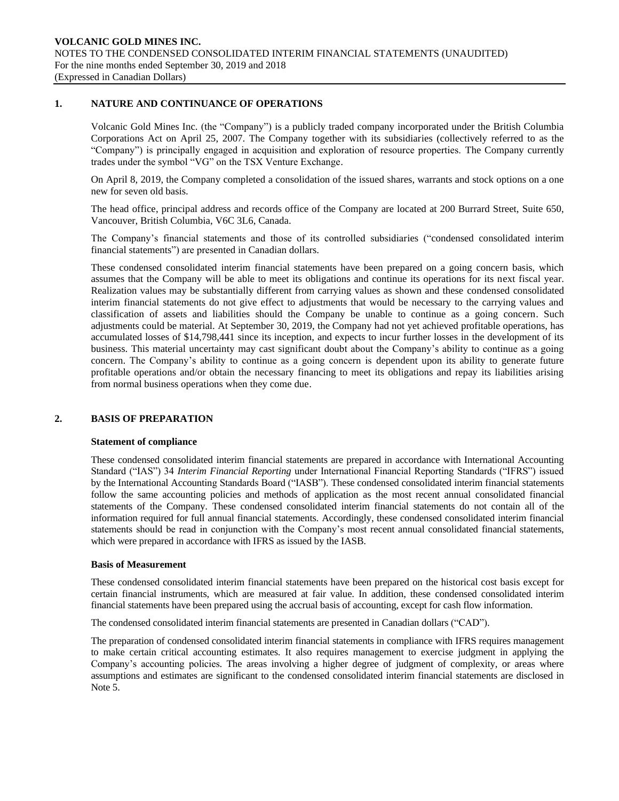#### **1. NATURE AND CONTINUANCE OF OPERATIONS**

Volcanic Gold Mines Inc. (the "Company") is a publicly traded company incorporated under the British Columbia Corporations Act on April 25, 2007. The Company together with its subsidiaries (collectively referred to as the "Company") is principally engaged in acquisition and exploration of resource properties. The Company currently trades under the symbol "VG" on the TSX Venture Exchange.

On April 8, 2019, the Company completed a consolidation of the issued shares, warrants and stock options on a one new for seven old basis.

The head office, principal address and records office of the Company are located at 200 Burrard Street, Suite 650, Vancouver, British Columbia, V6C 3L6, Canada.

The Company's financial statements and those of its controlled subsidiaries ("condensed consolidated interim financial statements") are presented in Canadian dollars.

These condensed consolidated interim financial statements have been prepared on a going concern basis, which assumes that the Company will be able to meet its obligations and continue its operations for its next fiscal year. Realization values may be substantially different from carrying values as shown and these condensed consolidated interim financial statements do not give effect to adjustments that would be necessary to the carrying values and classification of assets and liabilities should the Company be unable to continue as a going concern. Such adjustments could be material. At September 30, 2019, the Company had not yet achieved profitable operations, has accumulated losses of \$14,798,441 since its inception, and expects to incur further losses in the development of its business. This material uncertainty may cast significant doubt about the Company's ability to continue as a going concern. The Company's ability to continue as a going concern is dependent upon its ability to generate future profitable operations and/or obtain the necessary financing to meet its obligations and repay its liabilities arising from normal business operations when they come due.

#### **2. BASIS OF PREPARATION**

#### **Statement of compliance**

These condensed consolidated interim financial statements are prepared in accordance with International Accounting Standard ("IAS") 34 *Interim Financial Reporting* under International Financial Reporting Standards ("IFRS") issued by the International Accounting Standards Board ("IASB"). These condensed consolidated interim financial statements follow the same accounting policies and methods of application as the most recent annual consolidated financial statements of the Company. These condensed consolidated interim financial statements do not contain all of the information required for full annual financial statements. Accordingly, these condensed consolidated interim financial statements should be read in conjunction with the Company's most recent annual consolidated financial statements, which were prepared in accordance with IFRS as issued by the IASB.

#### **Basis of Measurement**

These condensed consolidated interim financial statements have been prepared on the historical cost basis except for certain financial instruments, which are measured at fair value. In addition, these condensed consolidated interim financial statements have been prepared using the accrual basis of accounting, except for cash flow information.

The condensed consolidated interim financial statements are presented in Canadian dollars ("CAD").

The preparation of condensed consolidated interim financial statements in compliance with IFRS requires management to make certain critical accounting estimates. It also requires management to exercise judgment in applying the Company's accounting policies. The areas involving a higher degree of judgment of complexity, or areas where assumptions and estimates are significant to the condensed consolidated interim financial statements are disclosed in Note 5.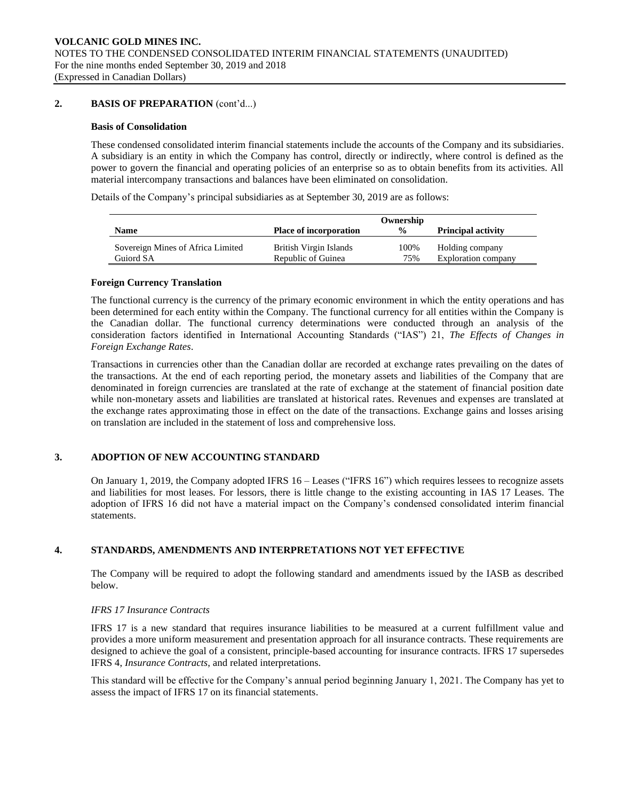### **2. BASIS OF PREPARATION** (cont'd...)

#### **Basis of Consolidation**

These condensed consolidated interim financial statements include the accounts of the Company and its subsidiaries. A subsidiary is an entity in which the Company has control, directly or indirectly, where control is defined as the power to govern the financial and operating policies of an enterprise so as to obtain benefits from its activities. All material intercompany transactions and balances have been eliminated on consolidation.

Details of the Company's principal subsidiaries as at September 30, 2019 are as follows:

|                                   |                               | Ownership     |                           |
|-----------------------------------|-------------------------------|---------------|---------------------------|
| <b>Name</b>                       | <b>Place of incorporation</b> | $\frac{0}{0}$ | <b>Principal activity</b> |
| Sovereign Mines of Africa Limited | British Virgin Islands        | 100%          | Holding company           |
| Guiord SA                         | Republic of Guinea            | 75%           | Exploration company       |

#### **Foreign Currency Translation**

The functional currency is the currency of the primary economic environment in which the entity operations and has been determined for each entity within the Company. The functional currency for all entities within the Company is the Canadian dollar. The functional currency determinations were conducted through an analysis of the consideration factors identified in International Accounting Standards ("IAS") 21, *The Effects of Changes in Foreign Exchange Rates*.

Transactions in currencies other than the Canadian dollar are recorded at exchange rates prevailing on the dates of the transactions. At the end of each reporting period, the monetary assets and liabilities of the Company that are denominated in foreign currencies are translated at the rate of exchange at the statement of financial position date while non-monetary assets and liabilities are translated at historical rates. Revenues and expenses are translated at the exchange rates approximating those in effect on the date of the transactions. Exchange gains and losses arising on translation are included in the statement of loss and comprehensive loss.

### **3. ADOPTION OF NEW ACCOUNTING STANDARD**

On January 1, 2019, the Company adopted IFRS 16 – Leases ("IFRS 16") which requires lessees to recognize assets and liabilities for most leases. For lessors, there is little change to the existing accounting in IAS 17 Leases. The adoption of IFRS 16 did not have a material impact on the Company's condensed consolidated interim financial statements.

### **4. STANDARDS, AMENDMENTS AND INTERPRETATIONS NOT YET EFFECTIVE**

The Company will be required to adopt the following standard and amendments issued by the IASB as described below.

#### *IFRS 17 Insurance Contracts*

IFRS 17 is a new standard that requires insurance liabilities to be measured at a current fulfillment value and provides a more uniform measurement and presentation approach for all insurance contracts. These requirements are designed to achieve the goal of a consistent, principle-based accounting for insurance contracts. IFRS 17 supersedes IFRS 4, *Insurance Contracts*, and related interpretations.

This standard will be effective for the Company's annual period beginning January 1, 2021. The Company has yet to assess the impact of IFRS 17 on its financial statements.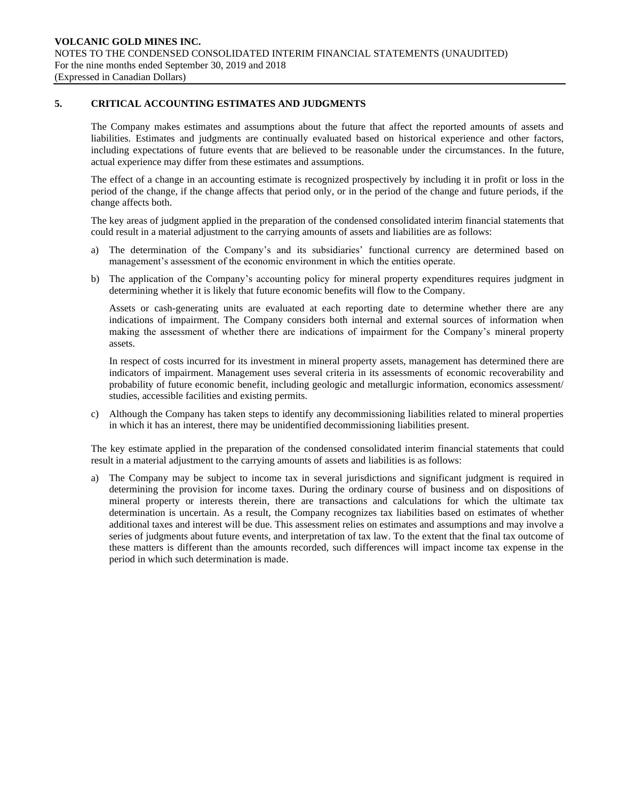### **5. CRITICAL ACCOUNTING ESTIMATES AND JUDGMENTS**

The Company makes estimates and assumptions about the future that affect the reported amounts of assets and liabilities. Estimates and judgments are continually evaluated based on historical experience and other factors, including expectations of future events that are believed to be reasonable under the circumstances. In the future, actual experience may differ from these estimates and assumptions.

The effect of a change in an accounting estimate is recognized prospectively by including it in profit or loss in the period of the change, if the change affects that period only, or in the period of the change and future periods, if the change affects both.

The key areas of judgment applied in the preparation of the condensed consolidated interim financial statements that could result in a material adjustment to the carrying amounts of assets and liabilities are as follows:

- a) The determination of the Company's and its subsidiaries' functional currency are determined based on management's assessment of the economic environment in which the entities operate.
- b) The application of the Company's accounting policy for mineral property expenditures requires judgment in determining whether it is likely that future economic benefits will flow to the Company.

Assets or cash-generating units are evaluated at each reporting date to determine whether there are any indications of impairment. The Company considers both internal and external sources of information when making the assessment of whether there are indications of impairment for the Company's mineral property assets.

In respect of costs incurred for its investment in mineral property assets, management has determined there are indicators of impairment. Management uses several criteria in its assessments of economic recoverability and probability of future economic benefit, including geologic and metallurgic information, economics assessment/ studies, accessible facilities and existing permits.

c) Although the Company has taken steps to identify any decommissioning liabilities related to mineral properties in which it has an interest, there may be unidentified decommissioning liabilities present.

The key estimate applied in the preparation of the condensed consolidated interim financial statements that could result in a material adjustment to the carrying amounts of assets and liabilities is as follows:

a) The Company may be subject to income tax in several jurisdictions and significant judgment is required in determining the provision for income taxes. During the ordinary course of business and on dispositions of mineral property or interests therein, there are transactions and calculations for which the ultimate tax determination is uncertain. As a result, the Company recognizes tax liabilities based on estimates of whether additional taxes and interest will be due. This assessment relies on estimates and assumptions and may involve a series of judgments about future events, and interpretation of tax law. To the extent that the final tax outcome of these matters is different than the amounts recorded, such differences will impact income tax expense in the period in which such determination is made.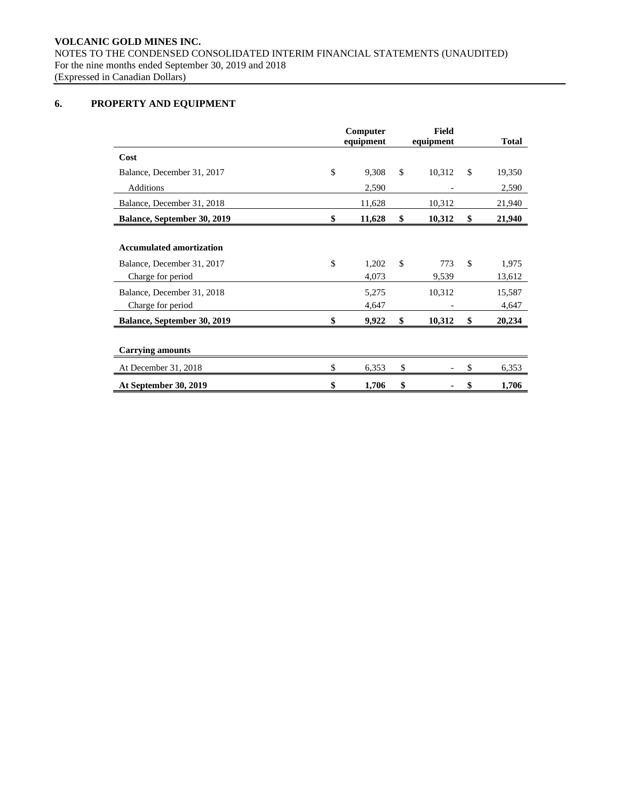# **6. PROPERTY AND EQUIPMENT**

|                                                                                    | Computer<br>equipment |               | <b>Field</b><br>equipment | <b>Total</b>          |
|------------------------------------------------------------------------------------|-----------------------|---------------|---------------------------|-----------------------|
| Cost                                                                               |                       |               |                           |                       |
| Balance, December 31, 2017                                                         | \$<br>9,308           | $\mathbb{S}$  | 10,312                    | \$<br>19,350          |
| Additions                                                                          | 2,590                 |               |                           | 2,590                 |
| Balance, December 31, 2018                                                         | 11,628                |               | 10,312                    | 21,940                |
| <b>Balance, September 30, 2019</b>                                                 | \$<br>11,628          | \$            | 10,312                    | \$<br>21,940          |
| <b>Accumulated amortization</b><br>Balance, December 31, 2017<br>Charge for period | \$<br>1,202<br>4,073  | <sup>\$</sup> | 773<br>9,539              | \$<br>1,975<br>13,612 |
| Balance, December 31, 2018<br>Charge for period                                    | 5,275<br>4,647        |               | 10,312                    | 15,587<br>4,647       |
| <b>Balance, September 30, 2019</b>                                                 | \$<br>9,922           | \$            | 10,312                    | \$<br>20,234          |
| <b>Carrying amounts</b>                                                            |                       |               |                           |                       |
| At December 31, 2018                                                               | \$<br>6,353           | \$            |                           | \$<br>6,353           |
| At September 30, 2019                                                              | \$<br>1,706           | \$            |                           | \$<br>1,706           |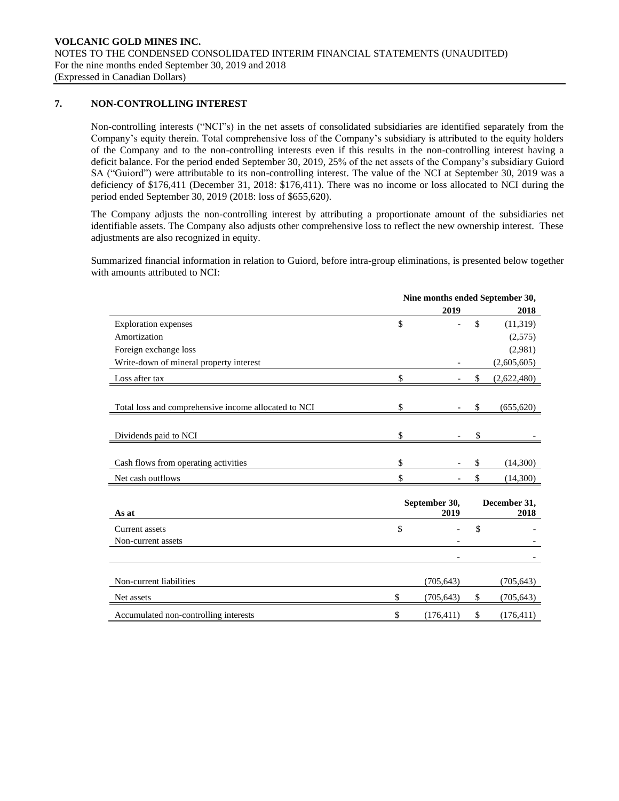### **7. NON-CONTROLLING INTEREST**

Non-controlling interests ("NCI"s) in the net assets of consolidated subsidiaries are identified separately from the Company's equity therein. Total comprehensive loss of the Company's subsidiary is attributed to the equity holders of the Company and to the non-controlling interests even if this results in the non-controlling interest having a deficit balance. For the period ended September 30, 2019, 25% of the net assets of the Company's subsidiary Guiord SA ("Guiord") were attributable to its non-controlling interest. The value of the NCI at September 30, 2019 was a deficiency of \$176,411 (December 31, 2018: \$176,411). There was no income or loss allocated to NCI during the period ended September 30, 2019 (2018: loss of \$655,620).

The Company adjusts the non-controlling interest by attributing a proportionate amount of the subsidiaries net identifiable assets. The Company also adjusts other comprehensive loss to reflect the new ownership interest. These adjustments are also recognized in equity.

Summarized financial information in relation to Guiord, before intra-group eliminations, is presented below together with amounts attributed to NCI:

|                                                      | Nine months ended September 30, |                       |    |                      |  |  |  |
|------------------------------------------------------|---------------------------------|-----------------------|----|----------------------|--|--|--|
|                                                      |                                 | 2019                  |    | 2018                 |  |  |  |
| <b>Exploration</b> expenses                          | \$                              |                       | \$ | (11,319)             |  |  |  |
| Amortization                                         |                                 |                       |    | (2,575)              |  |  |  |
| Foreign exchange loss                                |                                 |                       |    | (2,981)              |  |  |  |
| Write-down of mineral property interest              |                                 |                       |    | (2,605,605)          |  |  |  |
| Loss after tax                                       | \$                              |                       | \$ | (2,622,480)          |  |  |  |
| Total loss and comprehensive income allocated to NCI | \$                              |                       | \$ | (655, 620)           |  |  |  |
| Dividends paid to NCI                                | \$                              |                       | \$ |                      |  |  |  |
| Cash flows from operating activities                 | \$                              |                       | \$ | (14,300)             |  |  |  |
| Net cash outflows                                    | \$                              |                       | \$ | (14,300)             |  |  |  |
| As at                                                |                                 | September 30,<br>2019 |    | December 31,<br>2018 |  |  |  |
| Current assets                                       | \$                              |                       | \$ |                      |  |  |  |
| Non-current assets                                   |                                 |                       |    |                      |  |  |  |
|                                                      |                                 |                       |    |                      |  |  |  |
| Non-current liabilities                              |                                 | (705, 643)            |    | (705, 643)           |  |  |  |
| Net assets                                           | \$                              | (705, 643)            | \$ | (705, 643)           |  |  |  |
| Accumulated non-controlling interests                | \$                              | (176, 411)            | \$ | (176, 411)           |  |  |  |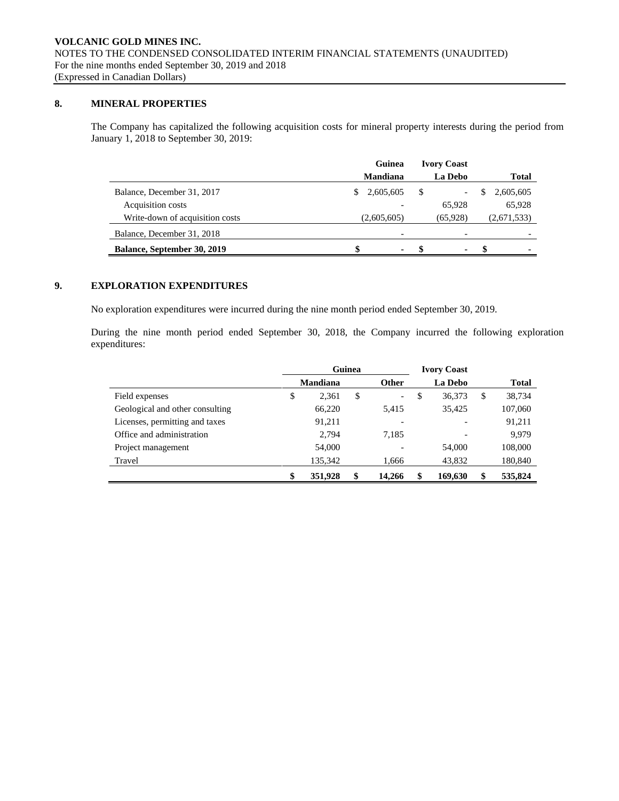# **8. MINERAL PROPERTIES**

The Company has capitalized the following acquisition costs for mineral property interests during the period from January 1, 2018 to September 30, 2019:

|                                    | Guinea                   | <b>Ivory Coast</b> |                        |
|------------------------------------|--------------------------|--------------------|------------------------|
|                                    | <b>Mandiana</b>          | <b>La Debo</b>     | Total                  |
| Balance, December 31, 2017         | 2,605,605<br>S.          | -S<br>-            | 2,605,605<br>S         |
| <b>Acquisition costs</b>           |                          | 65,928             | 65,928                 |
| Write-down of acquisition costs    | (2,605,605)              | (65,928)           | (2,671,533)            |
| Balance, December 31, 2018         | $\overline{\phantom{0}}$ | -                  |                        |
| <b>Balance, September 30, 2019</b> | \$.<br>$\blacksquare$    | -8                 | - \$<br>$\blacksquare$ |

# **9. EXPLORATION EXPENDITURES**

No exploration expenditures were incurred during the nine month period ended September 30, 2019.

During the nine month period ended September 30, 2018, the Company incurred the following exploration expenditures:

|                                 | Guinea |                 |    |              | <b>Ivory Coast</b>       |   |              |
|---------------------------------|--------|-----------------|----|--------------|--------------------------|---|--------------|
|                                 |        | <b>Mandiana</b> |    | <b>Other</b> | La Debo                  |   | <b>Total</b> |
| Field expenses                  | \$     | 2,361           | \$ | -            | \$<br>36,373             | S | 38,734       |
| Geological and other consulting |        | 66,220          |    | 5.415        | 35,425                   |   | 107,060      |
| Licenses, permitting and taxes  |        | 91,211          |    |              | $\overline{\phantom{a}}$ |   | 91,211       |
| Office and administration       |        | 2.794           |    | 7,185        | $\overline{\phantom{a}}$ |   | 9,979        |
| Project management              |        | 54,000          |    |              | 54,000                   |   | 108,000      |
| Travel                          |        | 135,342         |    | 1,666        | 43,832                   |   | 180,840      |
|                                 | \$     | 351,928         | \$ | 14.266       | \$<br>169,630            |   | 535,824      |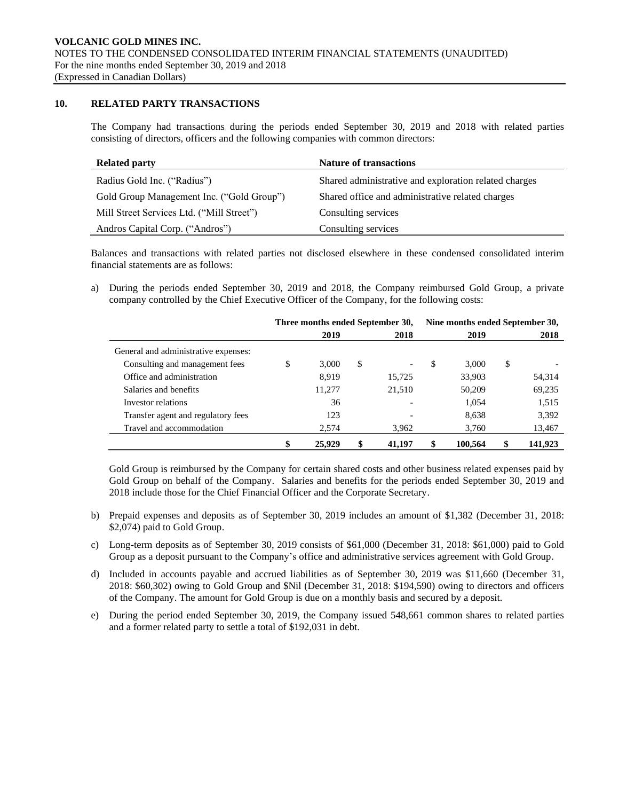### **10. RELATED PARTY TRANSACTIONS**

The Company had transactions during the periods ended September 30, 2019 and 2018 with related parties consisting of directors, officers and the following companies with common directors:

| <b>Related party</b>                      | <b>Nature of transactions</b>                         |
|-------------------------------------------|-------------------------------------------------------|
| Radius Gold Inc. ("Radius")               | Shared administrative and exploration related charges |
| Gold Group Management Inc. ("Gold Group") | Shared office and administrative related charges      |
| Mill Street Services Ltd. ("Mill Street") | Consulting services                                   |
| Andros Capital Corp. ("Andros")           | Consulting services                                   |

Balances and transactions with related parties not disclosed elsewhere in these condensed consolidated interim financial statements are as follows:

a) During the periods ended September 30, 2019 and 2018, the Company reimbursed Gold Group, a private company controlled by the Chief Executive Officer of the Company, for the following costs:

|                                      | Three months ended September 30, |        |    |        |    | Nine months ended September 30, |    |         |  |
|--------------------------------------|----------------------------------|--------|----|--------|----|---------------------------------|----|---------|--|
|                                      |                                  | 2019   |    | 2018   |    | 2019                            |    | 2018    |  |
| General and administrative expenses: |                                  |        |    |        |    |                                 |    |         |  |
| Consulting and management fees       | \$                               | 3.000  | \$ |        | \$ | 3,000                           | \$ |         |  |
| Office and administration            |                                  | 8.919  |    | 15,725 |    | 33,903                          |    | 54,314  |  |
| Salaries and benefits                |                                  | 11,277 |    | 21,510 |    | 50,209                          |    | 69,235  |  |
| Investor relations                   |                                  | 36     |    |        |    | 1,054                           |    | 1,515   |  |
| Transfer agent and regulatory fees   |                                  | 123    |    |        |    | 8,638                           |    | 3,392   |  |
| Travel and accommodation             |                                  | 2,574  |    | 3,962  |    | 3,760                           |    | 13,467  |  |
|                                      |                                  | 25,929 |    | 41.197 |    | 100.564                         |    | 141.923 |  |

Gold Group is reimbursed by the Company for certain shared costs and other business related expenses paid by Gold Group on behalf of the Company. Salaries and benefits for the periods ended September 30, 2019 and 2018 include those for the Chief Financial Officer and the Corporate Secretary.

- b) Prepaid expenses and deposits as of September 30, 2019 includes an amount of \$1,382 (December 31, 2018: \$2,074) paid to Gold Group.
- c) Long-term deposits as of September 30, 2019 consists of \$61,000 (December 31, 2018: \$61,000) paid to Gold Group as a deposit pursuant to the Company's office and administrative services agreement with Gold Group.
- d) Included in accounts payable and accrued liabilities as of September 30, 2019 was \$11,660 (December 31, 2018: \$60,302) owing to Gold Group and \$Nil (December 31, 2018: \$194,590) owing to directors and officers of the Company. The amount for Gold Group is due on a monthly basis and secured by a deposit.
- e) During the period ended September 30, 2019, the Company issued 548,661 common shares to related parties and a former related party to settle a total of \$192,031 in debt.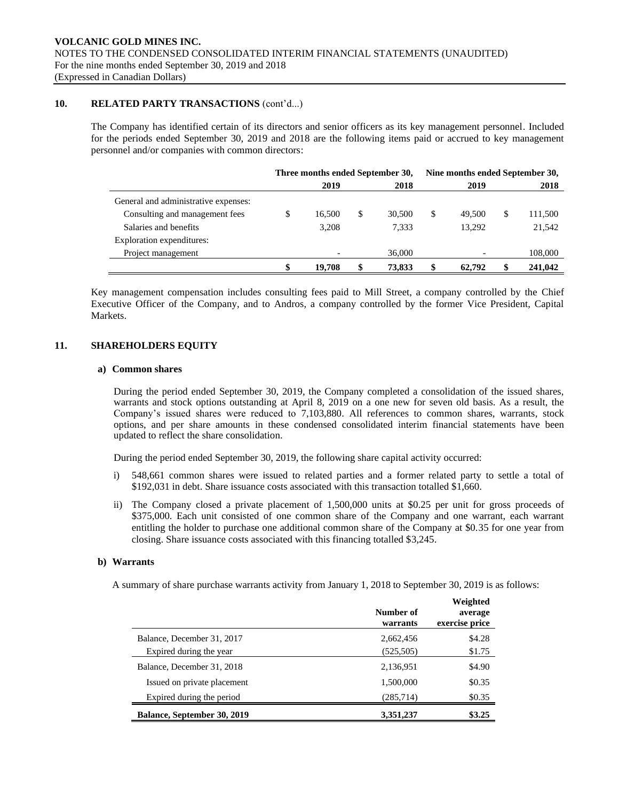### **10. RELATED PARTY TRANSACTIONS** (cont'd...)

The Company has identified certain of its directors and senior officers as its key management personnel. Included for the periods ended September 30, 2019 and 2018 are the following items paid or accrued to key management personnel and/or companies with common directors:

|                                      | Three months ended September 30, |        |   |        | Nine months ended September 30, |        |   |         |
|--------------------------------------|----------------------------------|--------|---|--------|---------------------------------|--------|---|---------|
|                                      |                                  | 2019   |   | 2018   |                                 | 2019   |   | 2018    |
| General and administrative expenses: |                                  |        |   |        |                                 |        |   |         |
| Consulting and management fees       |                                  | 16.500 | S | 30,500 | S                               | 49,500 | S | 111,500 |
| Salaries and benefits                |                                  | 3,208  |   | 7,333  |                                 | 13.292 |   | 21,542  |
| Exploration expenditures:            |                                  |        |   |        |                                 |        |   |         |
| Project management                   |                                  |        |   | 36,000 |                                 |        |   | 108,000 |
|                                      |                                  | 19.708 |   | 73,833 |                                 | 62,792 |   | 241,042 |

Key management compensation includes consulting fees paid to Mill Street, a company controlled by the Chief Executive Officer of the Company, and to Andros, a company controlled by the former Vice President, Capital Markets.

### **11. SHAREHOLDERS EQUITY**

#### **a) Common shares**

During the period ended September 30, 2019, the Company completed a consolidation of the issued shares, warrants and stock options outstanding at April 8, 2019 on a one new for seven old basis. As a result, the Company's issued shares were reduced to 7,103,880. All references to common shares, warrants, stock options, and per share amounts in these condensed consolidated interim financial statements have been updated to reflect the share consolidation.

During the period ended September 30, 2019, the following share capital activity occurred:

- i) 548,661 common shares were issued to related parties and a former related party to settle a total of \$192,031 in debt. Share issuance costs associated with this transaction totalled \$1,660.
- ii) The Company closed a private placement of 1,500,000 units at \$0.25 per unit for gross proceeds of \$375,000. Each unit consisted of one common share of the Company and one warrant, each warrant entitling the holder to purchase one additional common share of the Company at \$0.35 for one year from closing. Share issuance costs associated with this financing totalled \$3,245.

#### **b) Warrants**

A summary of share purchase warrants activity from January 1, 2018 to September 30, 2019 is as follows:

|                             | Weighted<br>Number of<br>average<br>exercise price<br>warrants |        |  |  |  |
|-----------------------------|----------------------------------------------------------------|--------|--|--|--|
| Balance, December 31, 2017  | 2,662,456                                                      | \$4.28 |  |  |  |
| Expired during the year     | (525, 505)                                                     | \$1.75 |  |  |  |
| Balance, December 31, 2018  | 2,136,951                                                      | \$4.90 |  |  |  |
| Issued on private placement | 1,500,000                                                      | \$0.35 |  |  |  |
| Expired during the period   | (285, 714)                                                     | \$0.35 |  |  |  |
| Balance, September 30, 2019 | 3,351,237                                                      | \$3.25 |  |  |  |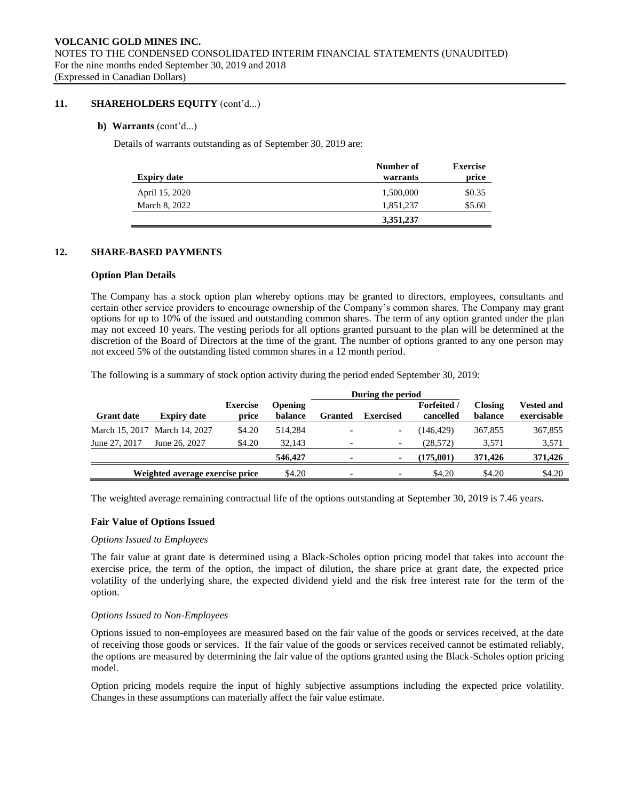### **11. SHAREHOLDERS EQUITY** (cont'd...)

### **b) Warrants** (cont'd...)

Details of warrants outstanding as of September 30, 2019 are:

|                    | Number of | <b>Exercise</b> |
|--------------------|-----------|-----------------|
| <b>Expiry date</b> | warrants  | price           |
| April 15, 2020     | 1,500,000 | \$0.35          |
| March 8, 2022      | 1,851,237 | \$5.60          |
|                    | 3,351,237 |                 |

### **12. SHARE-BASED PAYMENTS**

#### **Option Plan Details**

The Company has a stock option plan whereby options may be granted to directors, employees, consultants and certain other service providers to encourage ownership of the Company's common shares. The Company may grant options for up to 10% of the issued and outstanding common shares. The term of any option granted under the plan may not exceed 10 years. The vesting periods for all options granted pursuant to the plan will be determined at the discretion of the Board of Directors at the time of the grant. The number of options granted to any one person may not exceed 5% of the outstanding listed common shares in a 12 month period.

The following is a summary of stock option activity during the period ended September 30, 2019:

|                   |                                 |                          | During the period         |                |                          |                                 |                           |                                  |
|-------------------|---------------------------------|--------------------------|---------------------------|----------------|--------------------------|---------------------------------|---------------------------|----------------------------------|
| <b>Grant date</b> | <b>Expiry date</b>              | <b>Exercise</b><br>price | <b>Opening</b><br>balance | <b>Granted</b> | <b>Exercised</b>         | <b>Forfeited</b> /<br>cancelled | <b>Closing</b><br>balance | <b>Vested and</b><br>exercisable |
|                   | March 15, 2017 March 14, 2027   | \$4.20                   | 514.284                   |                | $\overline{\phantom{a}}$ | (146, 429)                      | 367,855                   | 367,855                          |
| June 27, 2017     | June 26, 2027                   | \$4.20                   | 32.143                    |                | $\overline{\phantom{a}}$ | (28,572)                        | 3,571                     | 3,571                            |
|                   |                                 |                          | 546,427                   |                | $\sim$                   | (175.001)                       | 371,426                   | 371,426                          |
|                   | Weighted average exercise price |                          | \$4.20                    |                | $\overline{\phantom{a}}$ | \$4.20                          | \$4.20                    | \$4.20                           |

The weighted average remaining contractual life of the options outstanding at September 30, 2019 is 7.46 years.

#### **Fair Value of Options Issued**

#### *Options Issued to Employees*

The fair value at grant date is determined using a Black-Scholes option pricing model that takes into account the exercise price, the term of the option, the impact of dilution, the share price at grant date, the expected price volatility of the underlying share, the expected dividend yield and the risk free interest rate for the term of the option.

#### *Options Issued to Non-Employees*

Options issued to non-employees are measured based on the fair value of the goods or services received, at the date of receiving those goods or services. If the fair value of the goods or services received cannot be estimated reliably, the options are measured by determining the fair value of the options granted using the Black-Scholes option pricing model.

Option pricing models require the input of highly subjective assumptions including the expected price volatility. Changes in these assumptions can materially affect the fair value estimate.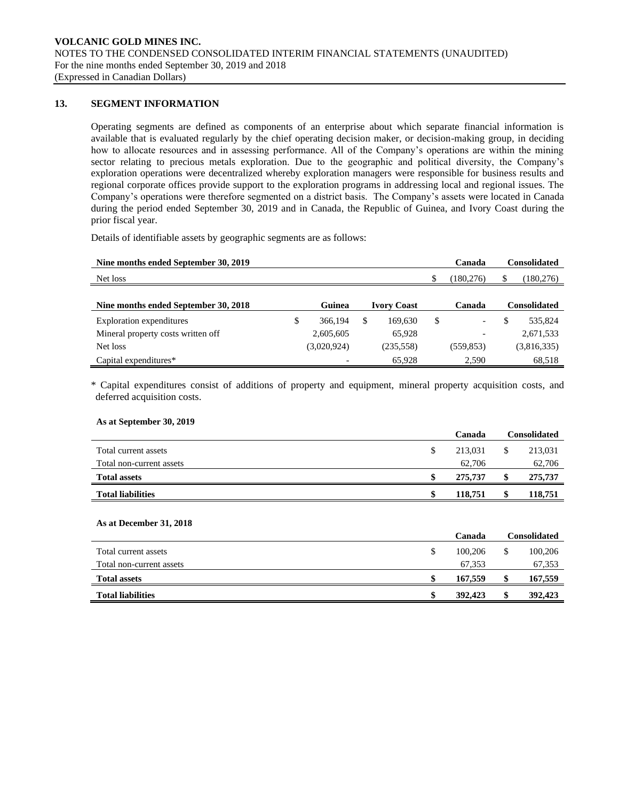### **13. SEGMENT INFORMATION**

Operating segments are defined as components of an enterprise about which separate financial information is available that is evaluated regularly by the chief operating decision maker, or decision-making group, in deciding how to allocate resources and in assessing performance. All of the Company's operations are within the mining sector relating to precious metals exploration. Due to the geographic and political diversity, the Company's exploration operations were decentralized whereby exploration managers were responsible for business results and regional corporate offices provide support to the exploration programs in addressing local and regional issues. The Company's operations were therefore segmented on a district basis. The Company's assets were located in Canada during the period ended September 30, 2019 and in Canada, the Republic of Guinea, and Ivory Coast during the prior fiscal year.

Details of identifiable assets by geographic segments are as follows:

| Nine months ended September 30, 2019 |               |   |                    |     | Canada                   |     | <b>Consolidated</b> |
|--------------------------------------|---------------|---|--------------------|-----|--------------------------|-----|---------------------|
| Net loss                             |               |   |                    | \$. | (180, 276)               | S   | (180, 276)          |
|                                      |               |   |                    |     |                          |     |                     |
| Nine months ended September 30, 2018 | Guinea        |   | <b>Ivory Coast</b> |     | Canada                   |     | <b>Consolidated</b> |
| Exploration expenditures             | \$<br>366,194 | S | 169.630            | \$  |                          | \$. | 535,824             |
| Mineral property costs written off   | 2,605,605     |   | 65,928             |     | $\overline{\phantom{0}}$ |     | 2,671,533           |
| Net loss                             | (3,020,924)   |   | (235, 558)         |     | (559, 853)               |     | (3,816,335)         |
| Capital expenditures*                |               |   | 65,928             |     | 2,590                    |     | 68,518              |

\* Capital expenditures consist of additions of property and equipment, mineral property acquisition costs, and deferred acquisition costs.

#### **As at September 30, 2019**

|                          | Canada  | Consolidated |
|--------------------------|---------|--------------|
| Total current assets     | 213.031 | 213,031      |
| Total non-current assets | 62.706  | 62,706       |
| <b>Total assets</b>      | 275,737 | 275,737      |
| <b>Total liabilities</b> | 118,751 | 118,751      |
|                          |         |              |

#### **As at December 31, 2018**

|                          | Canada  |    | Consolidated |
|--------------------------|---------|----|--------------|
| Total current assets     | 100,206 |    | 100,206      |
| Total non-current assets | 67,353  |    | 67,353       |
| <b>Total assets</b>      | 167,559 | ۰D | 167,559      |
| <b>Total liabilities</b> | 392,423 |    | 392,423      |
|                          |         |    |              |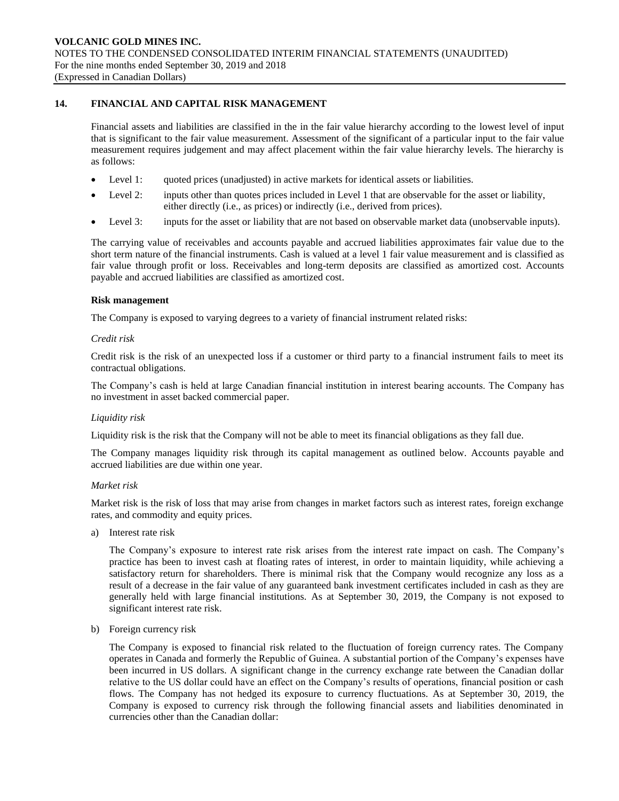### **14. FINANCIAL AND CAPITAL RISK MANAGEMENT**

Financial assets and liabilities are classified in the in the fair value hierarchy according to the lowest level of input that is significant to the fair value measurement. Assessment of the significant of a particular input to the fair value measurement requires judgement and may affect placement within the fair value hierarchy levels. The hierarchy is as follows:

- Level 1: quoted prices (unadjusted) in active markets for identical assets or liabilities.
- Level 2: inputs other than quotes prices included in Level 1 that are observable for the asset or liability, either directly (i.e., as prices) or indirectly (i.e., derived from prices).
- Level 3: inputs for the asset or liability that are not based on observable market data (unobservable inputs).

The carrying value of receivables and accounts payable and accrued liabilities approximates fair value due to the short term nature of the financial instruments. Cash is valued at a level 1 fair value measurement and is classified as fair value through profit or loss. Receivables and long-term deposits are classified as amortized cost. Accounts payable and accrued liabilities are classified as amortized cost.

#### **Risk management**

The Company is exposed to varying degrees to a variety of financial instrument related risks:

#### *Credit risk*

Credit risk is the risk of an unexpected loss if a customer or third party to a financial instrument fails to meet its contractual obligations.

The Company's cash is held at large Canadian financial institution in interest bearing accounts. The Company has no investment in asset backed commercial paper.

#### *Liquidity risk*

Liquidity risk is the risk that the Company will not be able to meet its financial obligations as they fall due.

The Company manages liquidity risk through its capital management as outlined below. Accounts payable and accrued liabilities are due within one year.

#### *Market risk*

Market risk is the risk of loss that may arise from changes in market factors such as interest rates, foreign exchange rates, and commodity and equity prices.

a) Interest rate risk

The Company's exposure to interest rate risk arises from the interest rate impact on cash. The Company's practice has been to invest cash at floating rates of interest, in order to maintain liquidity, while achieving a satisfactory return for shareholders. There is minimal risk that the Company would recognize any loss as a result of a decrease in the fair value of any guaranteed bank investment certificates included in cash as they are generally held with large financial institutions. As at September 30, 2019, the Company is not exposed to significant interest rate risk.

b) Foreign currency risk

The Company is exposed to financial risk related to the fluctuation of foreign currency rates. The Company operates in Canada and formerly the Republic of Guinea. A substantial portion of the Company's expenses have been incurred in US dollars. A significant change in the currency exchange rate between the Canadian dollar relative to the US dollar could have an effect on the Company's results of operations, financial position or cash flows. The Company has not hedged its exposure to currency fluctuations. As at September 30, 2019, the Company is exposed to currency risk through the following financial assets and liabilities denominated in currencies other than the Canadian dollar: